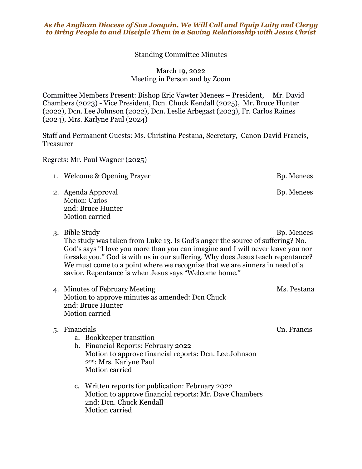## *As the Anglican Diocese of San Joaquin, We Will Call and Equip Laity and Clergy to Bring People to and Disciple Them in a Saving Relationship with Jesus Christ*

Standing Committee Minutes

March 19, 2022 Meeting in Person and by Zoom

Committee Members Present: Bishop Eric Vawter Menees – President, Mr. David Chambers (2023) - Vice President, Dcn. Chuck Kendall (2025), Mr. Bruce Hunter (2022), Dcn. Lee Johnson (2022), Dcn. Leslie Arbegast (2023), Fr. Carlos Raines (2024), Mrs. Karlyne Paul (2024)

Staff and Permanent Guests: Ms. Christina Pestana, Secretary, Canon David Francis, Treasurer

Regrets: Mr. Paul Wagner (2025)

- 1. Welcome & Opening Prayer Bp. Menees
- 2. Agenda Approval Bp. Menees Motion: Carlos 2nd: Bruce Hunter Motion carried
- 3. Bible Study Bp. Menees

The study was taken from Luke 13. Is God's anger the source of suffering? No. God's says "I love you more than you can imagine and I will never leave you nor forsake you." God is with us in our suffering. Why does Jesus teach repentance? We must come to a point where we recognize that we are sinners in need of a savior. Repentance is when Jesus says "Welcome home."

4. Minutes of February Meeting Ms. Pestana Motion to approve minutes as amended: Dcn Chuck 2nd: Bruce Hunter Motion carried

## 5. Financials Cn. Francis

- a. Bookkeeper transition
- b. Financial Reports: February 2022 Motion to approve financial reports: Dcn. Lee Johnson 2nd: Mrs. Karlyne Paul Motion carried
- c. Written reports for publication: February 2022 Motion to approve financial reports: Mr. Dave Chambers 2nd: Dcn. Chuck Kendall Motion carried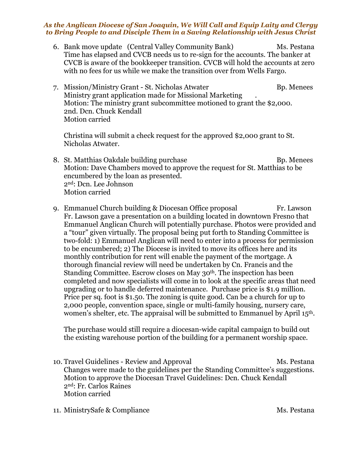## *As the Anglican Diocese of San Joaquin, We Will Call and Equip Laity and Clergy to Bring People to and Disciple Them in a Saving Relationship with Jesus Christ*

6. Bank move update (Central Valley Community Bank) Ms. Pestana Time has elapsed and CVCB needs us to re-sign for the accounts. The banker at CVCB is aware of the bookkeeper transition. CVCB will hold the accounts at zero with no fees for us while we make the transition over from Wells Fargo.

7. Mission/Ministry Grant - St. Nicholas Atwater **B**p. Menees Ministry grant application made for Missional Marketing . Motion: The ministry grant subcommittee motioned to grant the \$2,000. 2nd. Dcn. Chuck Kendall Motion carried

Christina will submit a check request for the approved \$2,000 grant to St. Nicholas Atwater.

- 8. St. Matthias Oakdale building purchase Bp. Menees Motion: Dave Chambers moved to approve the request for St. Matthias to be encumbered by the loan as presented. 2nd: Dcn. Lee Johnson Motion carried
- 9. Emmanuel Church building & Diocesan Office proposal Fr. Lawson Fr. Lawson gave a presentation on a building located in downtown Fresno that Emmanuel Anglican Church will potentially purchase. Photos were provided and a "tour" given virtually. The proposal being put forth to Standing Committee is two-fold: 1) Emmanuel Anglican will need to enter into a process for permission to be encumbered; 2) The Diocese is invited to move its offices here and its monthly contribution for rent will enable the payment of the mortgage. A thorough financial review will need be undertaken by Cn. Francis and the Standing Committee. Escrow closes on May 30th. The inspection has been completed and now specialists will come in to look at the specific areas that need upgrading or to handle deferred maintenance. Purchase price is \$1.9 million. Price per sq. foot is \$1.50. The zoning is quite good. Can be a church for up to 2,000 people, convention space, single or multi-family housing, nursery care, women's shelter, etc. The appraisal will be submitted to Emmanuel by April 15th.

The purchase would still require a diocesan-wide capital campaign to build out the existing warehouse portion of the building for a permanent worship space.

- 10. Travel Guidelines Review and Approval Ms. Pestana Changes were made to the guidelines per the Standing Committee's suggestions. Motion to approve the Diocesan Travel Guidelines: Dcn. Chuck Kendall 2nd: Fr. Carlos Raines Motion carried
- 11. MinistrySafe & Compliance Ms. Pestana